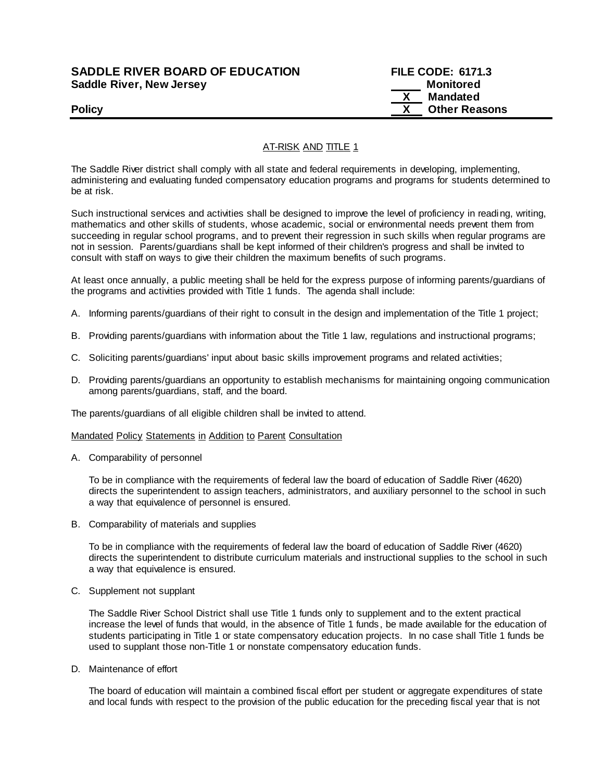## **SADDLE RIVER BOARD OF EDUCATION FILE CODE: 6171.3 Saddle River, New Jersey Monitored Example 2018 19 No. 2018 19:30 Monitored**

 **X Mandated Policy COLLEGENS Policy COLLEGENS COLLEGENS COLLEGENS X Other Reasons** 

# AT-RISK AND TITLE 1

The Saddle River district shall comply with all state and federal requirements in developing, implementing, administering and evaluating funded compensatory education programs and programs for students determined to be at risk.

Such instructional services and activities shall be designed to improve the level of proficiency in reading, writing, mathematics and other skills of students, whose academic, social or environmental needs prevent them from succeeding in regular school programs, and to prevent their regression in such skills when regular programs are not in session. Parents/guardians shall be kept informed of their children's progress and shall be invited to consult with staff on ways to give their children the maximum benefits of such programs.

At least once annually, a public meeting shall be held for the express purpose of informing parents/guardians of the programs and activities provided with Title 1 funds. The agenda shall include:

- A. Informing parents/guardians of their right to consult in the design and implementation of the Title 1 project;
- B. Providing parents/guardians with information about the Title 1 law, regulations and instructional programs;
- C. Soliciting parents/guardians' input about basic skills improvement programs and related activities;
- D. Providing parents/guardians an opportunity to establish mechanisms for maintaining ongoing communication among parents/guardians, staff, and the board.

The parents/guardians of all eligible children shall be invited to attend.

#### Mandated Policy Statements in Addition to Parent Consultation

A. Comparability of personnel

To be in compliance with the requirements of federal law the board of education of Saddle River (4620) directs the superintendent to assign teachers, administrators, and auxiliary personnel to the school in such a way that equivalence of personnel is ensured.

B. Comparability of materials and supplies

To be in compliance with the requirements of federal law the board of education of Saddle River (4620) directs the superintendent to distribute curriculum materials and instructional supplies to the school in such a way that equivalence is ensured.

C. Supplement not supplant

The Saddle River School District shall use Title 1 funds only to supplement and to the extent practical increase the level of funds that would, in the absence of Title 1 funds, be made available for the education of students participating in Title 1 or state compensatory education projects. In no case shall Title 1 funds be used to supplant those non-Title 1 or nonstate compensatory education funds.

D. Maintenance of effort

The board of education will maintain a combined fiscal effort per student or aggregate expenditures of state and local funds with respect to the provision of the public education for the preceding fiscal year that is not